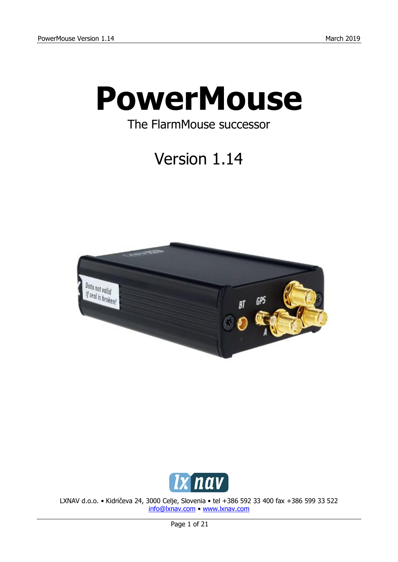

# The FlarmMouse successor

Version 1.14





LXNAV d.o.o. • Kidričeva 24, 3000 Celje, Slovenia • tel +386 592 33 400 fax +386 599 33 522 [info@lxnav.com](mailto:info@lxnav.com) • [www.lxnav.com](http://www.lxnav.com/)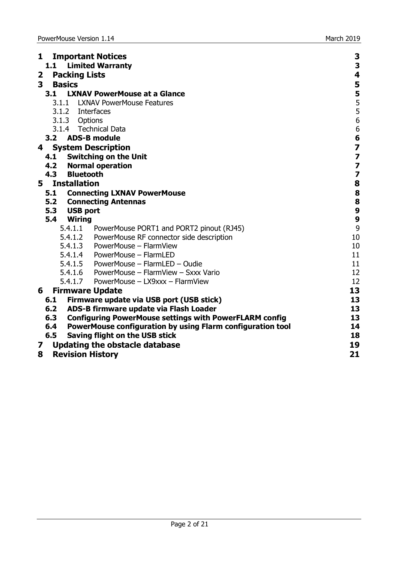| <b>Important Notices</b><br>1                                  | 3                                                                     |
|----------------------------------------------------------------|-----------------------------------------------------------------------|
| <b>Limited Warranty</b><br>1.1                                 | 3                                                                     |
| <b>Packing Lists</b><br>$\mathbf{2}$                           | 4                                                                     |
| $\overline{\mathbf{3}}$<br><b>Basics</b>                       | 5                                                                     |
| 3.1 LXNAV PowerMouse at a Glance                               |                                                                       |
| 3.1.1 LXNAV PowerMouse Features                                |                                                                       |
| 3.1.2 Interfaces                                               | 5<br>5<br>5<br>5<br>6                                                 |
| 3.1.3 Options                                                  |                                                                       |
| 3.1.4 Technical Data                                           | $\overline{6}$                                                        |
| 3.2 ADS-B module                                               | 6                                                                     |
| <b>System Description</b><br>4                                 |                                                                       |
| 4.1 Switching on the Unit                                      | $\begin{array}{c} \mathbf{7} \\ \mathbf{7} \\ \mathbf{7} \end{array}$ |
| 4.2 Normal operation                                           |                                                                       |
| 4.3 Bluetooth                                                  | $\overline{\mathbf{z}}$                                               |
| 5 Installation                                                 | $\overline{\mathbf{8}}$                                               |
| 5.1 Connecting LXNAV PowerMouse                                | 8                                                                     |
| <b>5.2 Connecting Antennas</b>                                 | $\begin{array}{c} 8 \\ 9 \end{array}$                                 |
| 5.3 USB port                                                   |                                                                       |
| 5.4<br>Wiring                                                  | $\overline{9}$                                                        |
| 5.4.1.1 PowerMouse PORT1 and PORT2 pinout (RJ45)               | 9                                                                     |
| 5.4.1.2 PowerMouse RF connector side description               | 10                                                                    |
| 5.4.1.3 PowerMouse - FlarmView                                 | 10                                                                    |
| 5.4.1.4 PowerMouse - FlarmLED                                  | 11                                                                    |
| 5.4.1.5 PowerMouse - FlarmLED - Oudie                          | 11                                                                    |
| 5.4.1.6 PowerMouse - FlarmView - Sxxx Vario                    | 12                                                                    |
| 5.4.1.7 PowerMouse - LX9xxx - FlarmView                        | 12                                                                    |
| <b>Firmware Update</b><br>6                                    | 13                                                                    |
| 6.1 Firmware update via USB port (USB stick)                   | 13                                                                    |
| 6.2 ADS-B firmware update via Flash Loader                     | 13                                                                    |
| 6.3 Configuring PowerMouse settings with PowerFLARM config     | 13                                                                    |
| 6.4 PowerMouse configuration by using Flarm configuration tool | 14                                                                    |
| 6.5<br>Saving flight on the USB stick                          | 18                                                                    |
| <b>Updating the obstacle database</b><br>7                     | 19                                                                    |
| <b>Revision History</b><br>8                                   | 21                                                                    |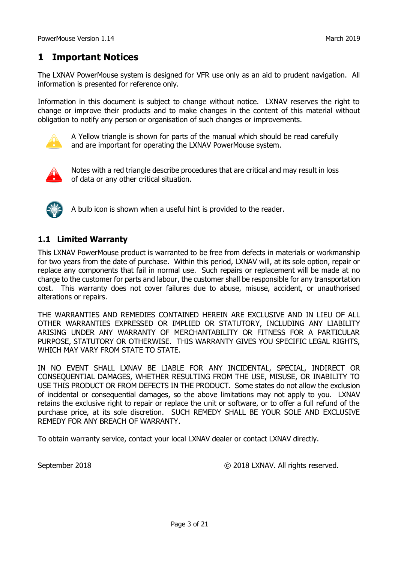## <span id="page-2-0"></span>**1 Important Notices**

The LXNAV PowerMouse system is designed for VFR use only as an aid to prudent navigation. All information is presented for reference only.

Information in this document is subject to change without notice. LXNAV reserves the right to change or improve their products and to make changes in the content of this material without obligation to notify any person or organisation of such changes or improvements.



A Yellow triangle is shown for parts of the manual which should be read carefully and are important for operating the LXNAV PowerMouse system.



Notes with a red triangle describe procedures that are critical and may result in loss of data or any other critical situation.



A bulb icon is shown when a useful hint is provided to the reader.

## <span id="page-2-1"></span>**1.1 Limited Warranty**

This LXNAV PowerMouse product is warranted to be free from defects in materials or workmanship for two years from the date of purchase. Within this period, LXNAV will, at its sole option, repair or replace any components that fail in normal use. Such repairs or replacement will be made at no charge to the customer for parts and labour, the customer shall be responsible for any transportation cost. This warranty does not cover failures due to abuse, misuse, accident, or unauthorised alterations or repairs.

THE WARRANTIES AND REMEDIES CONTAINED HEREIN ARE EXCLUSIVE AND IN LIEU OF ALL OTHER WARRANTIES EXPRESSED OR IMPLIED OR STATUTORY, INCLUDING ANY LIABILITY ARISING UNDER ANY WARRANTY OF MERCHANTABILITY OR FITNESS FOR A PARTICULAR PURPOSE, STATUTORY OR OTHERWISE. THIS WARRANTY GIVES YOU SPECIFIC LEGAL RIGHTS, WHICH MAY VARY FROM STATE TO STATE.

IN NO EVENT SHALL LXNAV BE LIABLE FOR ANY INCIDENTAL, SPECIAL, INDIRECT OR CONSEQUENTIAL DAMAGES, WHETHER RESULTING FROM THE USE, MISUSE, OR INABILITY TO USE THIS PRODUCT OR FROM DEFECTS IN THE PRODUCT. Some states do not allow the exclusion of incidental or consequential damages, so the above limitations may not apply to you. LXNAV retains the exclusive right to repair or replace the unit or software, or to offer a full refund of the purchase price, at its sole discretion. SUCH REMEDY SHALL BE YOUR SOLE AND EXCLUSIVE REMEDY FOR ANY BREACH OF WARRANTY.

To obtain warranty service, contact your local LXNAV dealer or contact LXNAV directly.

September 2018 © 2018 LXNAV. All rights reserved.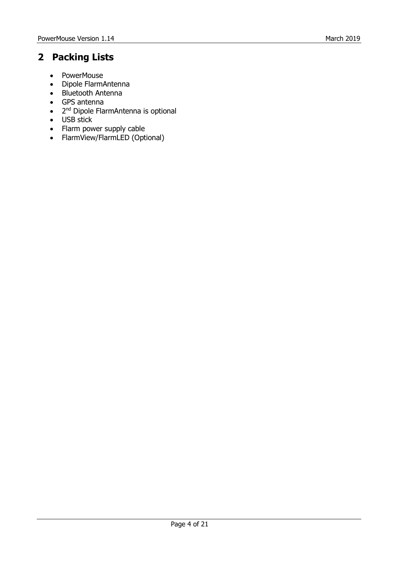## <span id="page-3-0"></span>**2 Packing Lists**

- PowerMouse
- Dipole FlarmAntenna
- Bluetooth Antenna
- GPS antenna
- 2<sup>nd</sup> Dipole FlarmAntenna is optional
- USB stick
- Flarm power supply cable
- FlarmView/FlarmLED (Optional)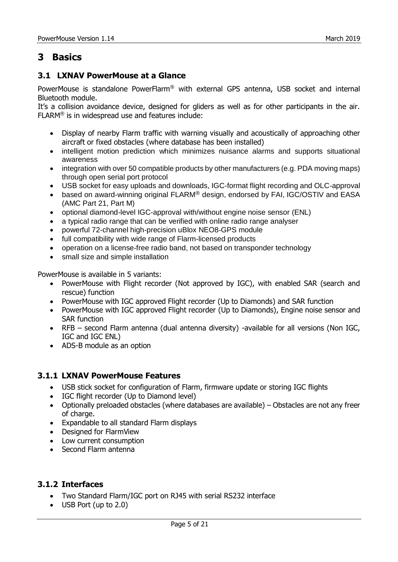## <span id="page-4-0"></span>**3 Basics**

## <span id="page-4-1"></span>**3.1 LXNAV PowerMouse at a Glance**

PowerMouse is standalone PowerFlarm® with external GPS antenna, USB socket and internal Bluetooth module.

It's a collision avoidance device, designed for gliders as well as for other participants in the air. FLARM® is in widespread use and features include:

- Display of nearby Flarm traffic with warning visually and acoustically of approaching other aircraft or fixed obstacles (where database has been installed)
- intelligent motion prediction which minimizes nuisance alarms and supports situational awareness
- integration with over 50 compatible products by other manufacturers (e.g. PDA moving maps) through [open serial port protocol](http://www.flarm.com/support/manual/index.html)
- USB socket for easy uploads and downloads, IGC-format flight recording and OLC-approval
- based on award-winning original FLARM® design, endorsed by [FAI,](http://www.flarm.com/news/fai_orleans.pdf) [IGC/OSTIV](http://www.flarm.com/news/ostiv.pdf) and EASA (AMC [Part 21,](http://www.flarm.com/news/Agency%20Decision%20Part%2021%20-%20Standard%20Parts.pdf) [Part M\)](http://www.flarm.com/news/Agency%20Decision%20Part%20M%20-%20Standard%20Parts.pdf)
- optional diamond-level [IGC-approval](http://www.fai.org/gliding/system/files/flarm-igc.pdf) with/without engine noise sensor (ENL)
- a typical radio range that can be verified with [online radio range analyser](http://www.flarm.com/support/analyze/index_en.html)
- powerful 72-channel high-precision uBlox [NEO8-GPS module](http://www.u-blox.com/products/lea_4p.html)
- full compatibility with wide range of Flarm-licensed products
- operation on a license-free radio band, not based on transponder technology
- small [size](http://www.flarm.com/support/manual/flarm_drawings.pdf) and simple installation

PowerMouse is available in 5 variants:

- PowerMouse with Flight recorder (Not approved by IGC), with enabled SAR (search and rescue) function
- PowerMouse with IGC approved Flight recorder (Up to Diamonds) and SAR function
- PowerMouse with IGC approved Flight recorder (Up to Diamonds), Engine noise sensor and SAR function
- RFB second Flarm antenna (dual antenna diversity) -available for all versions (Non IGC, IGC and IGC ENL)
- ADS-B module as an option

#### <span id="page-4-2"></span>**3.1.1 LXNAV PowerMouse Features**

- USB stick socket for configuration of Flarm, firmware update or storing IGC flights
- IGC flight recorder (Up to Diamond level)
- Optionally preloaded obstacles (where databases are available) Obstacles are not any freer of charge.
- Expandable to all standard Flarm displays
- Designed for FlarmView
- Low current consumption
- Second Flarm antenna

#### <span id="page-4-3"></span>**3.1.2 Interfaces**

- Two Standard Flarm/IGC port on RJ45 with serial RS232 interface
- USB Port (up to 2.0)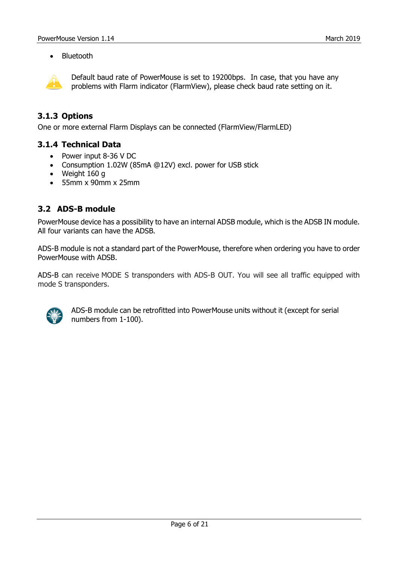• Bluetooth



Default baud rate of PowerMouse is set to 19200bps. In case, that you have any problems with Flarm indicator (FlarmView), please check baud rate setting on it.

### <span id="page-5-0"></span>**3.1.3 Options**

<span id="page-5-1"></span>One or more external Flarm Displays can be connected (FlarmView/FlarmLED)

#### **3.1.4 Technical Data**

- Power input 8-36 V DC
- Consumption 1.02W (85mA @12V) excl. power for USB stick
- Weight 160 g
- 55mm x 90mm x 25mm

#### <span id="page-5-2"></span>**3.2 ADS-B module**

PowerMouse device has a possibility to have an internal ADSB module, which is the ADSB IN module. All four variants can have the ADSB.

ADS-B module is not a standard part of the PowerMouse, therefore when ordering you have to order PowerMouse with ADSB.

ADS-B can receive MODE S transponders with ADS-B OUT. You will see all traffic equipped with mode S transponders.



ADS-B module can be retrofitted into PowerMouse units without it (except for serial numbers from 1-100).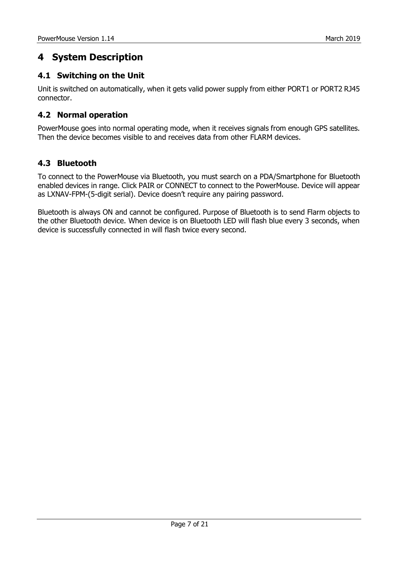## <span id="page-6-0"></span>**4 System Description**

## <span id="page-6-1"></span>**4.1 Switching on the Unit**

Unit is switched on automatically, when it gets valid power supply from either PORT1 or PORT2 RJ45 connector.

## <span id="page-6-2"></span>**4.2 Normal operation**

PowerMouse goes into normal operating mode, when it receives signals from enough GPS satellites. Then the device becomes visible to and receives data from other FLARM devices.

## <span id="page-6-3"></span>**4.3 Bluetooth**

To connect to the PowerMouse via Bluetooth, you must search on a PDA/Smartphone for Bluetooth enabled devices in range. Click PAIR or CONNECT to connect to the PowerMouse. Device will appear as LXNAV-FPM-(5-digit serial). Device doesn't require any pairing password.

Bluetooth is always ON and cannot be configured. Purpose of Bluetooth is to send Flarm objects to the other Bluetooth device. When device is on Bluetooth LED will flash blue every 3 seconds, when device is successfully connected in will flash twice every second.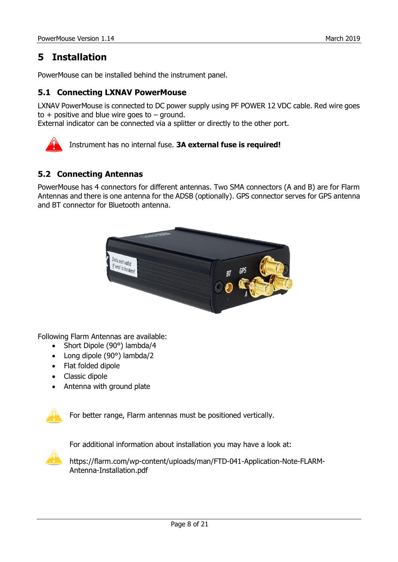## <span id="page-7-0"></span>**5 Installation**

<span id="page-7-1"></span>PowerMouse can be installed behind the instrument panel.

## **5.1 Connecting LXNAV PowerMouse**

LXNAV PowerMouse is connected to DC power supply using PF POWER 12 VDC cable. Red wire goes to  $+$  positive and blue wire goes to  $-$  ground.

External indicator can be connected via a splitter or directly to the other port.



Instrument has no internal fuse. **3A external fuse is required!**

## <span id="page-7-2"></span>**5.2 Connecting Antennas**

PowerMouse has 4 connectors for different antennas. Two SMA connectors (A and B) are for Flarm Antennas and there is one antenna for the ADSB (optionally). GPS connector serves for GPS antenna and BT connector for Bluetooth antenna.



Following Flarm Antennas are available:

- Short Dipole (90°) lambda/4
- Long dipole (90°) lambda/2
- Flat folded dipole
- Classic dipole
- Antenna with ground plate



For better range, Flarm antennas must be positioned vertically.

For additional information about installation you may have a look at:



https://flarm.com/wp-content/uploads/man/FTD-041-Application-Note-FLARM-Antenna-Installation.pdf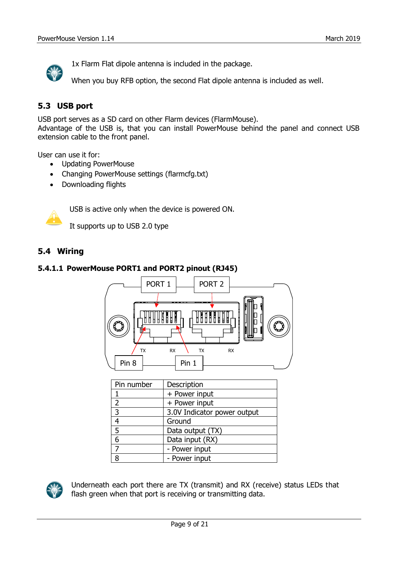

1x Flarm Flat dipole antenna is included in the package.

When you buy RFB option, the second Flat dipole antenna is included as well.

## <span id="page-8-0"></span>**5.3 USB port**

USB port serves as a SD card on other Flarm devices (FlarmMouse).

Advantage of the USB is, that you can install PowerMouse behind the panel and connect USB extension cable to the front panel.

User can use it for:

- Updating PowerMouse
- Changing PowerMouse settings (flarmcfg.txt)
- Downloading flights



USB is active only when the device is powered ON.

It supports up to USB 2.0 type

## <span id="page-8-1"></span>**5.4 Wiring**

#### <span id="page-8-2"></span>**5.4.1.1 PowerMouse PORT1 and PORT2 pinout (RJ45)**



| Pin number     | Description                 |
|----------------|-----------------------------|
|                | + Power input               |
| $\overline{2}$ | + Power input               |
| 3              | 3.0V Indicator power output |
|                | Ground                      |
| 5              | Data output (TX)            |
| 6              | Data input (RX)             |
|                | - Power input               |
| я              | - Power input               |



Underneath each port there are TX (transmit) and RX (receive) status LEDs that flash green when that port is receiving or transmitting data.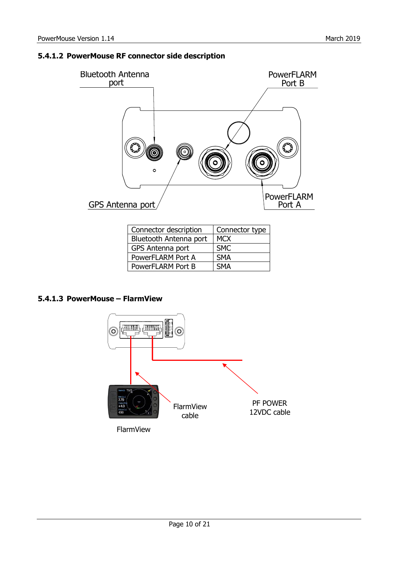### <span id="page-9-0"></span>**5.4.1.2 PowerMouse RF connector side description**



| Connector description  | Connector type |
|------------------------|----------------|
| Bluetooth Antenna port | <b>MCX</b>     |
| GPS Antenna port       | <b>SMC</b>     |
| PowerFLARM Port A      | <b>SMA</b>     |
| PowerFLARM Port B      | <b>SMA</b>     |

#### <span id="page-9-1"></span>**5.4.1.3 PowerMouse – FlarmView**

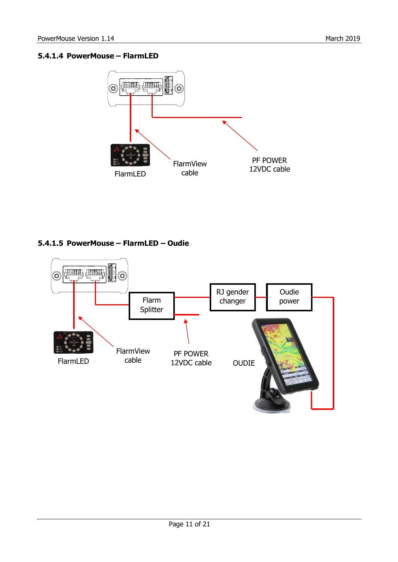## <span id="page-10-0"></span>**5.4.1.4 PowerMouse – FlarmLED**



## <span id="page-10-1"></span>**5.4.1.5 PowerMouse – FlarmLED – Oudie**

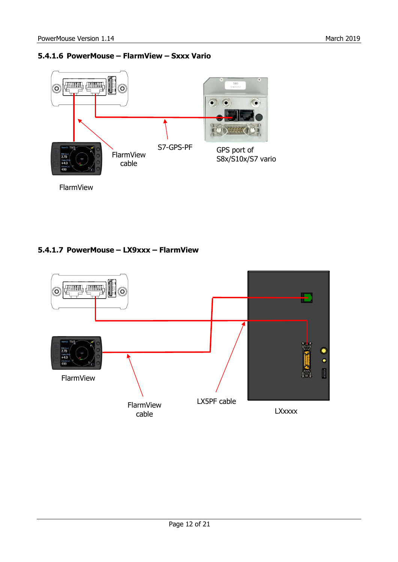#### <span id="page-11-0"></span>**5.4.1.6 PowerMouse – FlarmView – Sxxx Vario**



#### <span id="page-11-1"></span>**5.4.1.7 PowerMouse – LX9xxx – FlarmView**

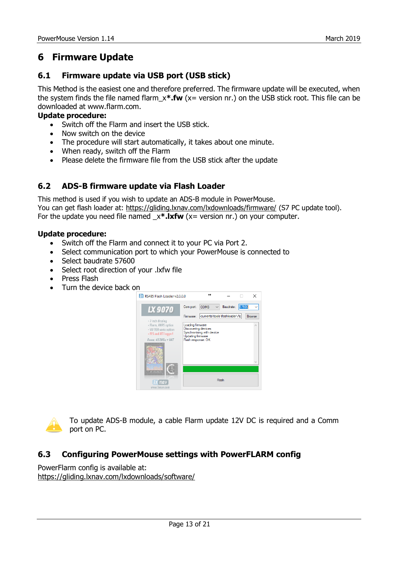## <span id="page-12-0"></span>**6 Firmware Update**

## <span id="page-12-1"></span>**6.1 Firmware update via USB port (USB stick)**

This Method is the easiest one and therefore preferred. The firmware update will be executed, when the system finds the file named flarm\_x**\*.fw** (x= version nr.) on the USB stick root. This file can be downloaded at www.flarm.com.

#### **Update procedure:**

- Switch off the Flarm and insert the USB stick.
- Now switch on the device
- The procedure will start automatically, it takes about one minute.
- When ready, switch off the Flarm
- Please delete the firmware file from the USB stick after the update

## <span id="page-12-2"></span>**6.2 ADS-B firmware update via Flash Loader**

This method is used if you wish to update an ADS-B module in PowerMouse. You can get flash loader at:<https://gliding.lxnav.com/lxdownloads/firmware/> (S7 PC update tool). For the update you need file named  $x^*$ .lxfw (x= version nr.) on your computer.

#### **Update procedure:**

- Switch off the Flarm and connect it to your PC via Port 2.
- Select communication port to which your PowerMouse is connected to
- Select baudrate 57600
- Select root direction of your .lxfw file
- Press Flash
- Turn the device back on





To update ADS-B module, a cable Flarm update 12V DC is required and a Comm port on PC.

## <span id="page-12-3"></span>**6.3 Configuring PowerMouse settings with PowerFLARM config**

PowerFlarm config is available at: <https://gliding.lxnav.com/lxdownloads/software/>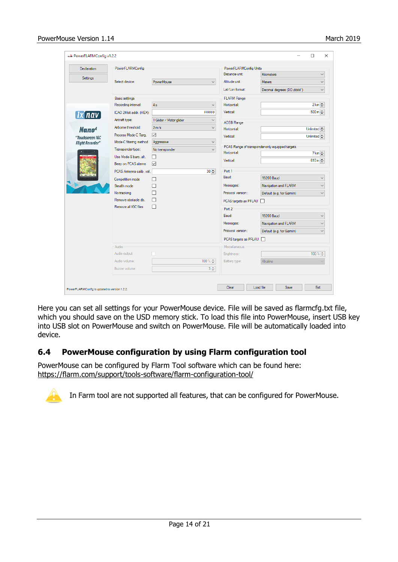| <b>Declaration</b>      | PowerFLARMConfig         |                         |                | PowerFLARMConfig Units |                                                 |                                     |
|-------------------------|--------------------------|-------------------------|----------------|------------------------|-------------------------------------------------|-------------------------------------|
|                         |                          |                         |                | Distance unit:         | <b>Kilometers</b>                               | $\checkmark$                        |
| Settings                | Select device:           | PowerMouse              | $\checkmark$   | Altitude unit:         | Meters                                          | $\checkmark$                        |
|                         |                          |                         |                | Lat/Lon format:        | Decimal degrees (DD.dddd°)                      | $\checkmark$                        |
|                         | <b>Basic settings</b>    |                         |                | <b>FLARM Range</b>     |                                                 |                                     |
|                         | Recording interval:      | 4s                      | $\checkmark$   | Horizontal:            |                                                 | $2 km -$                            |
| [Ix nav]                | ICAO 24-bit addr. (HEX): |                         | <b>FFFFFFF</b> | Vertical:              |                                                 | $500 \text{ m}$ $\uparrow$          |
|                         | Aircraft type:           | 1 Glider / Motor glider | $\checkmark$   | <b>ADSB Range</b>      |                                                 |                                     |
| Nano <sup>4</sup>       | Airborne threshold:      | 2 m/s                   | $\checkmark$   | Horizontal:            |                                                 | Unlimited                           |
| "Touchscreen IGC        | Process Mode-C Tarq.     | ✓                       |                | Vertical:              |                                                 | Unlimited                           |
| <b>Flight Recorder"</b> | Mode-C filtering method  | Aggressive              | $\checkmark$   |                        |                                                 |                                     |
|                         | Transponder type:        | No transponder          | $\checkmark$   | Horizontal:            | PCAS Range of transponder-only equipped targets |                                     |
|                         | Use Mode-S baro, alt.    | П                       |                |                        |                                                 | $7 \text{ km}$ $\rightleftharpoons$ |
|                         | Beep on PCAS alarms      | $\triangledown$         |                | Vertical:              |                                                 | $610 m \rightleftharpoons$          |
|                         | PCAS Antenna calib. val. |                         | $30 -$         | Port 1                 |                                                 |                                     |
|                         | Competition mode         | П                       |                | Baud:                  | 19200 Baud                                      | $\checkmark$                        |
|                         | Stealth mode             | г                       |                | Messages:              | Navigation and FLARM                            | $\checkmark$                        |
|                         | No tracking              |                         |                | Protocol version:      | Default (e.g. for Gamin)                        | $\checkmark$                        |
|                         | Remove obstacle db.      | П                       |                | PCAS targets as PFLAU  |                                                 |                                     |
|                         | Remove all IGC files     | П                       |                | Port 2                 |                                                 |                                     |
|                         |                          |                         |                | Baud:                  | 19200 Baud                                      | $\checkmark$                        |
|                         |                          |                         |                | Messages:              | Navigation and FLARM                            | $\checkmark$                        |
|                         |                          |                         |                | Protocol version:      | Default (e.g. for Garmin)                       | $\checkmark$                        |
|                         |                          |                         |                | PCAS targets as PFLAU  | П                                               |                                     |
|                         | Audio                    |                         |                | Miscellaneous          |                                                 |                                     |
|                         | Audio output             |                         |                | Brightness:            |                                                 | $100 \times \frac{1}{7}$            |
|                         | Audio volume:            |                         | 100 % ±        | Battery type:          | Alkaline                                        |                                     |
|                         | Buzzer volume:           |                         | $3 \div$       |                        |                                                 |                                     |
|                         |                          |                         |                |                        |                                                 |                                     |

Here you can set all settings for your PowerMouse device. File will be saved as flarmcfg.txt file, which you should save on the USD memory stick. To load this file into PowerMouse, insert USB key into USB slot on PowerMouse and switch on PowerMouse. File will be automatically loaded into device.

## <span id="page-13-0"></span>**6.4 PowerMouse configuration by using Flarm configuration tool**

PowerMouse can be configured by Flarm Tool software which can be found here: https://flarm.com/support/tools-software/flarm-configuration-tool/



In Farm tool are not supported all features, that can be configured for PowerMouse.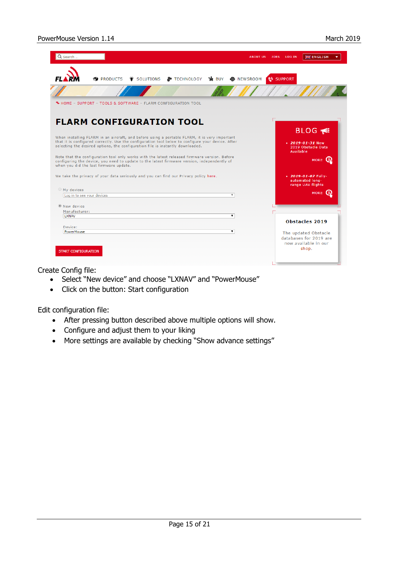| Q Search<br><b>ABOUT US</b>                                                                                                                                                                                                                                                          | 일을 ENGLISH<br>JOBS<br><b>LOG IN</b>                                             |
|--------------------------------------------------------------------------------------------------------------------------------------------------------------------------------------------------------------------------------------------------------------------------------------|---------------------------------------------------------------------------------|
| <b>&amp;</b> TECHNOLOGY<br>าња̀ BUY<br>– SOLUTIONS<br><b>PRODUCTS</b><br><b>6</b> NEWSROOM                                                                                                                                                                                           | <b>t</b> SUPPORT                                                                |
|                                                                                                                                                                                                                                                                                      |                                                                                 |
| 4 HOME - SUPPORT - TOOLS & SOFTWARE - FLARM CONFIGURATION TOOL                                                                                                                                                                                                                       |                                                                                 |
| <b>FLARM CONFIGURATION TOOL</b>                                                                                                                                                                                                                                                      |                                                                                 |
|                                                                                                                                                                                                                                                                                      | <b>BLOG</b>                                                                     |
| When installing FLARM in an aircraft, and before using a portable FLARM, it is very important<br>that it is configured correctly. Use the configuration tool below to configure your device. After<br>selecting the desired options, the configuration file is instantly downloaded. | $\cdot$ 2019-01-31 New<br>2019 Obstacle Data<br><b>Available</b>                |
| Note that the configuration tool only works with the latest released firmware version. Before<br>configuring the device, you need to update to the latest firmware version, independently of                                                                                         | MORE (i)                                                                        |
|                                                                                                                                                                                                                                                                                      |                                                                                 |
| when you did the last firmware update.<br>We take the privacy of your data seriously and you can find our Privacy policy here.                                                                                                                                                       | $\cdot$ 2019-01-07 Fully-<br>automated long-<br>range UAV flights               |
|                                                                                                                                                                                                                                                                                      |                                                                                 |
| Log in to see your devices<br>$\overline{\mathbf{v}}$                                                                                                                                                                                                                                | <b>MORE</b>                                                                     |
|                                                                                                                                                                                                                                                                                      |                                                                                 |
| Manufacturer:<br>$\blacktriangledown$                                                                                                                                                                                                                                                |                                                                                 |
| <b>LXNAV</b>                                                                                                                                                                                                                                                                         | <b>Obstacles 2019</b>                                                           |
| Device:                                                                                                                                                                                                                                                                              |                                                                                 |
| My devices<br><sup>O</sup> New device<br>PowerMouse<br>▼<br><b>START CONFIGURATION</b>                                                                                                                                                                                               | The updated Obstacle<br>databases for 2019 are<br>now available in our<br>shop. |

Create Config file:

- Select "New device" and choose "LXNAV" and "PowerMouse"
- Click on the button: Start configuration

Edit configuration file:

- After pressing button described above multiple options will show.
- Configure and adjust them to your liking
- More settings are available by checking "Show advance settings"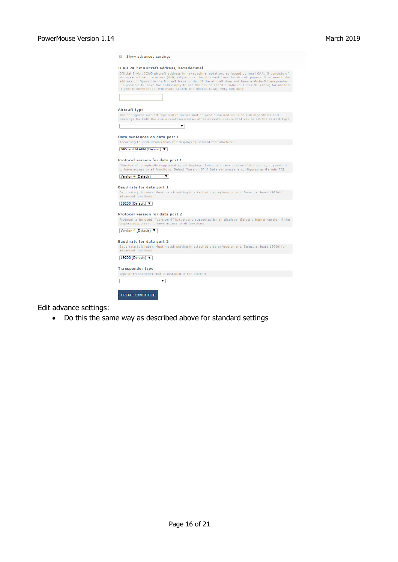|                         | <b>ICAO 24-bit aircraft address, hexadecimal</b>                                                                                                                                                                                                                                                                                                                                                                                                                                                       |
|-------------------------|--------------------------------------------------------------------------------------------------------------------------------------------------------------------------------------------------------------------------------------------------------------------------------------------------------------------------------------------------------------------------------------------------------------------------------------------------------------------------------------------------------|
|                         | Official 24-bit ICAO aircraft address in hexadecimal notation, as issued by local CAA. It consists of<br>six hexadecimal characters (0-9, a-f) and can be obtained from the aircraft papers. Must match the<br>address configured in the Mode-S transponder. If the aircraft does not have a Mode-S transponder,<br>it's possible to leave the field empty to use the device specific radio id. Enter "0" (zero) for random<br>id (not recommended, will make Search and Rescue (SAR) very difficult). |
|                         |                                                                                                                                                                                                                                                                                                                                                                                                                                                                                                        |
| Aircraft type           |                                                                                                                                                                                                                                                                                                                                                                                                                                                                                                        |
|                         | The configured aircraft type will influence motion prediction and collision risk algorithms and<br>warnings for both the own aircraft as well as other aircraft. Ensure that you select the correct type.                                                                                                                                                                                                                                                                                              |
|                         | ▼                                                                                                                                                                                                                                                                                                                                                                                                                                                                                                      |
|                         |                                                                                                                                                                                                                                                                                                                                                                                                                                                                                                        |
|                         | Data sentences on data port 1<br>According to instructions from the display/equipment manufacturer.                                                                                                                                                                                                                                                                                                                                                                                                    |
|                         |                                                                                                                                                                                                                                                                                                                                                                                                                                                                                                        |
|                         | GPS and FLARM (Default) $\blacktriangledown$                                                                                                                                                                                                                                                                                                                                                                                                                                                           |
|                         | <b>Protocol version for data port 1</b>                                                                                                                                                                                                                                                                                                                                                                                                                                                                |
|                         | "Version 4" is typically supported by all displays. Select a higher version if the display supports it                                                                                                                                                                                                                                                                                                                                                                                                 |
|                         | to have access to all functions. Select "Version 3" if Data sentences is configured as Garmin TIS.                                                                                                                                                                                                                                                                                                                                                                                                     |
|                         |                                                                                                                                                                                                                                                                                                                                                                                                                                                                                                        |
|                         |                                                                                                                                                                                                                                                                                                                                                                                                                                                                                                        |
| Version 4 (Default)     | ▼                                                                                                                                                                                                                                                                                                                                                                                                                                                                                                      |
|                         |                                                                                                                                                                                                                                                                                                                                                                                                                                                                                                        |
|                         | <b>Baud rate for data port 1</b>                                                                                                                                                                                                                                                                                                                                                                                                                                                                       |
| advanced functions.     | Baud rate (bit rate). Must match setting in attached display/equipment. Select at least 19200 for                                                                                                                                                                                                                                                                                                                                                                                                      |
|                         |                                                                                                                                                                                                                                                                                                                                                                                                                                                                                                        |
| 19200 (Default) ▼       |                                                                                                                                                                                                                                                                                                                                                                                                                                                                                                        |
|                         | Protocol version for data port 2                                                                                                                                                                                                                                                                                                                                                                                                                                                                       |
|                         | Protocol to be used. "Version 4" is typically supported by all displays. Select a higher version if the                                                                                                                                                                                                                                                                                                                                                                                                |
|                         | display supports it to have access to all functions.                                                                                                                                                                                                                                                                                                                                                                                                                                                   |
| Version 4 (Default) V   |                                                                                                                                                                                                                                                                                                                                                                                                                                                                                                        |
|                         |                                                                                                                                                                                                                                                                                                                                                                                                                                                                                                        |
|                         | <b>Baud rate for data port 2</b>                                                                                                                                                                                                                                                                                                                                                                                                                                                                       |
| advanced functions.     | Baud rate (bit rate). Must match setting in attached display/equipment. Select at least 19200 for                                                                                                                                                                                                                                                                                                                                                                                                      |
| 19200 (Default) ▼       |                                                                                                                                                                                                                                                                                                                                                                                                                                                                                                        |
|                         |                                                                                                                                                                                                                                                                                                                                                                                                                                                                                                        |
|                         |                                                                                                                                                                                                                                                                                                                                                                                                                                                                                                        |
|                         | Type of transponder that is installed in the aircraft.                                                                                                                                                                                                                                                                                                                                                                                                                                                 |
|                         |                                                                                                                                                                                                                                                                                                                                                                                                                                                                                                        |
| <b>Transponder type</b> | ▼                                                                                                                                                                                                                                                                                                                                                                                                                                                                                                      |

Edit advance settings:

• Do this the same way as described above for standard settings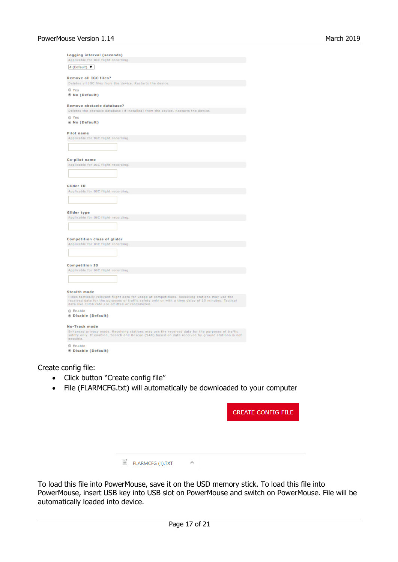| Logging interval (seconds)<br>Applicable for IGC flight recording.                                                                                                                                                                                       |
|----------------------------------------------------------------------------------------------------------------------------------------------------------------------------------------------------------------------------------------------------------|
| 4 (Default) ▼                                                                                                                                                                                                                                            |
| <b>Remove all IGC files?</b>                                                                                                                                                                                                                             |
| Deletes all IGC files from the device. Restarts the device.                                                                                                                                                                                              |
| O Yes                                                                                                                                                                                                                                                    |
| ® No (Default)                                                                                                                                                                                                                                           |
| Remove obstacle database?<br>Deletes the obstacle database (if installed) from the device. Restarts the device.                                                                                                                                          |
| O Yes                                                                                                                                                                                                                                                    |
| ® No (Default)                                                                                                                                                                                                                                           |
| Pilot name                                                                                                                                                                                                                                               |
| Applicable for IGC flight recording.                                                                                                                                                                                                                     |
|                                                                                                                                                                                                                                                          |
| Co-pilot name                                                                                                                                                                                                                                            |
| Applicable for IGC flight recording.                                                                                                                                                                                                                     |
|                                                                                                                                                                                                                                                          |
| Glider ID                                                                                                                                                                                                                                                |
| Applicable for IGC flight recording.                                                                                                                                                                                                                     |
|                                                                                                                                                                                                                                                          |
| Glider type                                                                                                                                                                                                                                              |
| Applicable for IGC flight recording.                                                                                                                                                                                                                     |
|                                                                                                                                                                                                                                                          |
| <b>Competition class of glider</b>                                                                                                                                                                                                                       |
| Applicable for IGC flight recording.                                                                                                                                                                                                                     |
|                                                                                                                                                                                                                                                          |
| <b>Competition ID</b>                                                                                                                                                                                                                                    |
| Applicable for IGC flight recording.                                                                                                                                                                                                                     |
|                                                                                                                                                                                                                                                          |
| <b>Stealth mode</b>                                                                                                                                                                                                                                      |
| Hides tactically relevant flight data for usage at competitions. Receiving stations may use the<br>received data for the purposes of traffic safety only or with a time delay of 10 minutes. Tactical<br>data like climb rate are omitted or randomized. |
| C Enable<br>@ Disable (Default)                                                                                                                                                                                                                          |
| No-Track mode                                                                                                                                                                                                                                            |
| Enhanced privacy mode. Receiving stations may use the received data for the purposes of traffic<br>safety only. If enabled, Search and Rescue (SAR) based on data received by ground stations is not<br>possible.                                        |
| C Enable<br>Disable (Default)                                                                                                                                                                                                                            |

Create config file:

- Click button "Create config file"
- File (FLARMCFG.txt) will automatically be downloaded to your computer

|                       |   | <b>CREATE CONFIG FILE</b> |
|-----------------------|---|---------------------------|
|                       |   |                           |
|                       |   |                           |
| E<br>FLARMCFG (1).TXT | ㅅ |                           |

To load this file into PowerMouse, save it on the USD memory stick. To load this file into PowerMouse, insert USB key into USB slot on PowerMouse and switch on PowerMouse. File will be automatically loaded into device.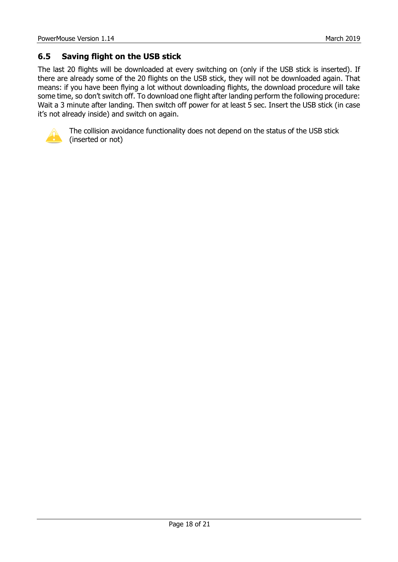## <span id="page-17-0"></span>**6.5 Saving flight on the USB stick**

The last 20 flights will be downloaded at every switching on (only if the USB stick is inserted). If there are already some of the 20 flights on the USB stick, they will not be downloaded again. That means: if you have been flying a lot without downloading flights, the download procedure will take some time, so don't switch off. To download one flight after landing perform the following procedure: Wait a 3 minute after landing. Then switch off power for at least 5 sec. Insert the USB stick (in case it's not already inside) and switch on again.



The collision avoidance functionality does not depend on the status of the USB stick (inserted or not)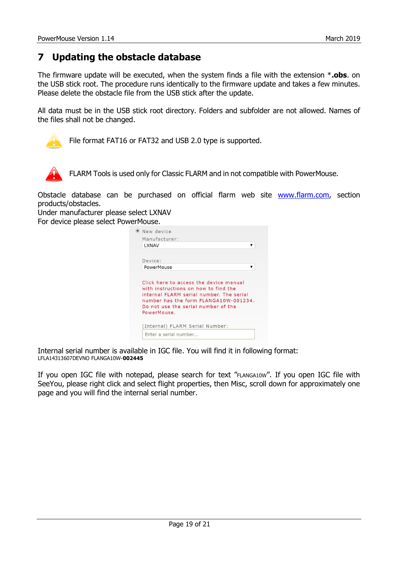## <span id="page-18-0"></span>**7 Updating the obstacle database**

The firmware update will be executed, when the system finds a file with the extension \***.obs**. on the USB stick root. The procedure runs identically to the firmware update and takes a few minutes. Please delete the obstacle file from the USB stick after the update.

All data must be in the USB stick root directory. Folders and subfolder are not allowed. Names of the files shall not be changed.



File format FAT16 or FAT32 and USB 2.0 type is supported.



FLARM Tools is used only for Classic FLARM and in not compatible with PowerMouse.

<span id="page-18-1"></span>Obstacle database can be purchased on official flarm web site [www.flarm.com,](http://www.flarm.com/) section products/obstacles.

Under manufacturer please select LXNAV For device please select PowerMouse.

| Manufacturer:                                                                                                                           |  |
|-----------------------------------------------------------------------------------------------------------------------------------------|--|
| <b>LXNAV</b>                                                                                                                            |  |
| Device:                                                                                                                                 |  |
| PowerMouse                                                                                                                              |  |
| Click here to access the device manual<br>with instructions on how to find the                                                          |  |
| internal FLARM serial number. The serial<br>number has the form FLANGA10W-001234.<br>Do not use the serial number of the<br>PowerMouse. |  |
| (Internal) FLARM Serial Number:                                                                                                         |  |

Internal serial number is available in IGC file. You will find it in following format: LFLA14313607DEVNO FLANGA10W-**002445**

If you open IGC file with notepad, please search for text "FLANGA10W". If you open IGC file with SeeYou, please right click and select flight properties, then Misc, scroll down for approximately one page and you will find the internal serial number.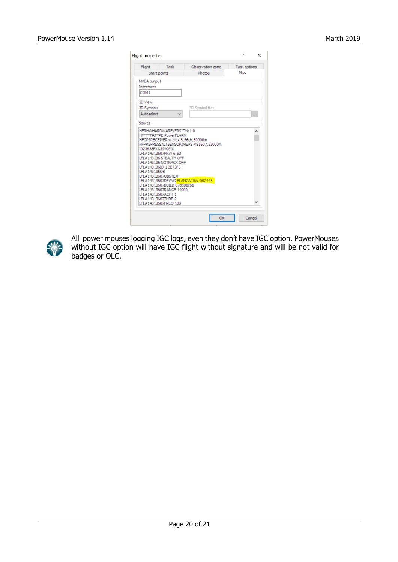| Flight             | Task                                           | Observation zone                       | Task options |     |
|--------------------|------------------------------------------------|----------------------------------------|--------------|-----|
|                    | Start points                                   | Photos                                 | Misc         |     |
| NMEA output        |                                                |                                        |              |     |
| Interface:         |                                                |                                        |              |     |
| COM <sub>1</sub>   |                                                |                                        |              |     |
| 3D View            |                                                |                                        |              |     |
| 3D Symbol:         |                                                | 3D Symbol file:                        |              |     |
| Autoselect         |                                                |                                        |              |     |
|                    |                                                |                                        |              | 111 |
| Source             |                                                |                                        |              |     |
|                    | HFRHWHARDWAREVERSION: 1.0                      |                                        |              |     |
|                    | HFFTYFRTYPE:PowerFLARM                         |                                        |              |     |
|                    |                                                | HFGPSRECEIVER:u-blox 8,56ch,50000m     |              |     |
|                    |                                                | HFPRSPRESSALTSENSOR:MEAS MS5607,25000m |              |     |
| I023638FXA3940SIU  |                                                |                                        |              |     |
|                    | IFLA14313607FRW 6.63<br>LFLA143136 STEALTH OFF |                                        |              |     |
|                    | LFLA143136 NOTRACK OFF                         |                                        |              |     |
|                    | LFLA143136ID 1 3E73F3                          |                                        |              |     |
| LFLA143136OB       |                                                |                                        |              |     |
|                    | LFLA14313607OBSTEXP                            |                                        |              |     |
|                    |                                                | LFLA14313607DEVNO FLANGA10W-002445     |              |     |
|                    | LFLA14313607BUILD 07d10ec6e                    |                                        |              |     |
| LFLA14313607ACFT 1 | LFLA14313607RANGE 14000                        |                                        |              |     |
| LFLA14313607THRE 2 |                                                |                                        |              |     |



All power mouses logging IGC logs, even they don't have IGC option. PowerMouses without IGC option will have IGC flight without signature and will be not valid for badges or OLC.